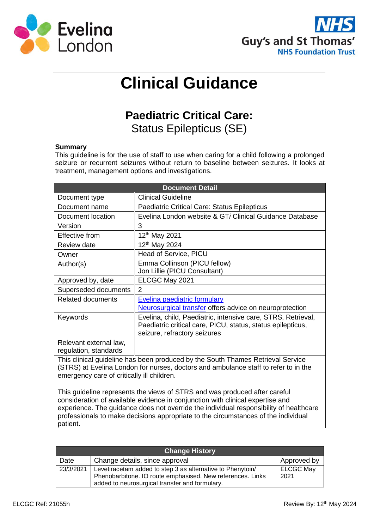



## **Clinical Guidance**

## **Paediatric Critical Care:**  Status Epilepticus (SE)

## **Summary**

This guideline is for the use of staff to use when caring for a child following a prolonged seizure or recurrent seizures without return to baseline between seizures. It looks at treatment, management options and investigations.

| <b>Document Detail</b>                                                                                                                                                                                               |                                                                                                                                                             |  |  |  |
|----------------------------------------------------------------------------------------------------------------------------------------------------------------------------------------------------------------------|-------------------------------------------------------------------------------------------------------------------------------------------------------------|--|--|--|
| Document type                                                                                                                                                                                                        | <b>Clinical Guideline</b>                                                                                                                                   |  |  |  |
| Document name                                                                                                                                                                                                        | <b>Paediatric Critical Care: Status Epilepticus</b>                                                                                                         |  |  |  |
| Document location                                                                                                                                                                                                    | Evelina London website & GTi Clinical Guidance Database                                                                                                     |  |  |  |
| Version                                                                                                                                                                                                              | 3                                                                                                                                                           |  |  |  |
| <b>Effective from</b>                                                                                                                                                                                                | 12 <sup>th</sup> May 2021                                                                                                                                   |  |  |  |
| <b>Review date</b>                                                                                                                                                                                                   | 12 <sup>th</sup> May 2024                                                                                                                                   |  |  |  |
| Owner                                                                                                                                                                                                                | Head of Service, PICU                                                                                                                                       |  |  |  |
| Author(s)                                                                                                                                                                                                            | Emma Collinson (PICU fellow)<br>Jon Lillie (PICU Consultant)                                                                                                |  |  |  |
| Approved by, date                                                                                                                                                                                                    | ELCGC May 2021                                                                                                                                              |  |  |  |
| Superseded documents                                                                                                                                                                                                 | 2                                                                                                                                                           |  |  |  |
| <b>Related documents</b>                                                                                                                                                                                             | <b>Evelina paediatric formulary</b>                                                                                                                         |  |  |  |
|                                                                                                                                                                                                                      | Neurosurgical transfer offers advice on neuroprotection                                                                                                     |  |  |  |
| Keywords                                                                                                                                                                                                             | Evelina, child, Paediatric, intensive care, STRS, Retrieval,<br>Paediatric critical care, PICU, status, status epilepticus,<br>seizure, refractory seizures |  |  |  |
| Relevant external law,<br>regulation, standards                                                                                                                                                                      |                                                                                                                                                             |  |  |  |
| This clinical guideline has been produced by the South Thames Retrieval Service<br>(STRS) at Evelina London for nurses, doctors and ambulance staff to refer to in the<br>emergency care of critically ill children. |                                                                                                                                                             |  |  |  |
| This guideline represents the views of STRS and was produced after careful                                                                                                                                           |                                                                                                                                                             |  |  |  |

consideration of available evidence in conjunction with clinical expertise and experience. The guidance does not override the individual responsibility of healthcare professionals to make decisions appropriate to the circumstances of the individual patient.

| <b>Change History</b> |                                                                                                                                                                            |                          |  |  |
|-----------------------|----------------------------------------------------------------------------------------------------------------------------------------------------------------------------|--------------------------|--|--|
| Date                  | Change details, since approval                                                                                                                                             |                          |  |  |
| 23/3/2021             | Levetiracetam added to step 3 as alternative to Phenytoin/<br>Phenobarbitone. IO route emphasised. New references. Links<br>added to neurosurgical transfer and formulary. | <b>ELCGC May</b><br>2021 |  |  |